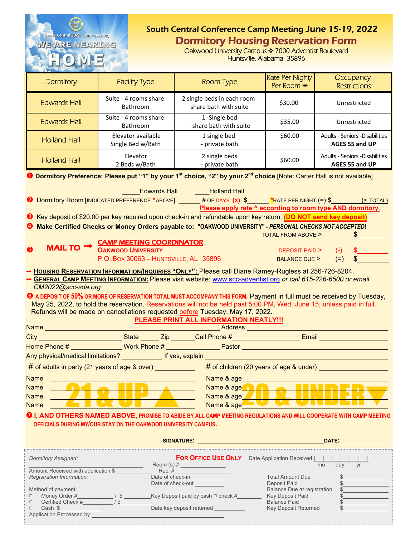|                                                                                                                                               |                                                                                                                                                                                                        | South Central Conference Camp Meeting June 15-19, 2022                   |                                                                                   |                                                   |  |  |  |
|-----------------------------------------------------------------------------------------------------------------------------------------------|--------------------------------------------------------------------------------------------------------------------------------------------------------------------------------------------------------|--------------------------------------------------------------------------|-----------------------------------------------------------------------------------|---------------------------------------------------|--|--|--|
| South Central 2022 Camp Meeting<br><u>WE ARE NEARTNG</u>                                                                                      |                                                                                                                                                                                                        | <b>Dormitory Housing Reservation Form</b>                                |                                                                                   |                                                   |  |  |  |
|                                                                                                                                               |                                                                                                                                                                                                        |                                                                          | Oakwood University Campus ◆ 7000 Adventist Boulevard<br>Huntsville, Alabama 35896 |                                                   |  |  |  |
|                                                                                                                                               |                                                                                                                                                                                                        |                                                                          |                                                                                   |                                                   |  |  |  |
| <b>Dormitory</b>                                                                                                                              | <b>Facility Type</b>                                                                                                                                                                                   | <b>Room Type</b>                                                         | Rate Per Night/<br>Per Room *                                                     | Occupancy<br><b>Restrictions</b>                  |  |  |  |
| <b>Holland Hall</b>                                                                                                                           | Suite - 4 rooms<br>share Kitchenette                                                                                                                                                                   | 2 single beds in each room<br>private bath                               | \$60.00                                                                           | Unrestricted<br>Limited Rooms Available           |  |  |  |
| <b>Edwards Hall</b>                                                                                                                           | Suite - 4 rooms share<br>Bathroom                                                                                                                                                                      | 1-Single bed<br>private bath                                             | \$60.00                                                                           | Unrestricted<br>Limited Rooms Available           |  |  |  |
| <b>Holland Hall</b>                                                                                                                           | Elevator available<br>Single Bed w/Bath                                                                                                                                                                | 1 single bed<br>- private bath                                           | \$60.00                                                                           | Adults - Seniors - Disabilities<br>AGES 55 and UP |  |  |  |
| <b>Holland Hall</b>                                                                                                                           | Elevator<br>2 Beds w/Bath                                                                                                                                                                              | 2 single beds<br>- private bath                                          | \$60.00                                                                           | Adults - Seniors - Disabilities<br>AGES 55 and UP |  |  |  |
|                                                                                                                                               | <b>O Dormitory Preference: Please put "1" by your 1st choice, "2" by your 2nd choice [Note: Wade Hall is not available]</b>                                                                            |                                                                          |                                                                                   |                                                   |  |  |  |
|                                                                                                                                               | <b>Carter Hall</b>                                                                                                                                                                                     | <b>Example Holland Hall</b>                                              |                                                                                   |                                                   |  |  |  |
| ❷                                                                                                                                             | Dormitory Room [INDICATED PREFERENCE $^{\wedge}$ ABOVE] # OF DAYS $(x)$ \$ $^{\wedge}$ *RATE PER NIGHT (=) \$                                                                                          |                                                                          | Please apply rate ^ according to room type AND dormitory.                         | $($ $\sigma$ TOTAL $)$                            |  |  |  |
|                                                                                                                                               | Key deposit of \$20.00 per key required upon check-in and refundable upon key return. (DO NOT send key deposit)                                                                                        |                                                                          |                                                                                   |                                                   |  |  |  |
|                                                                                                                                               | Make Certified Checks or Money Orders payable to: "OAKWOOD UNIVERSITY" - PERSONAL CHECKS NOT ACCEPTED!                                                                                                 |                                                                          |                                                                                   |                                                   |  |  |  |
|                                                                                                                                               | <b>CAMP MEETING COORDINATOR</b>                                                                                                                                                                        |                                                                          | <b>TOTAL FROM ABOVE &gt;</b>                                                      |                                                   |  |  |  |
| <b>MAIL TO ""</b><br>❺                                                                                                                        | <b>OAKWOOD UNIVERSITY</b>                                                                                                                                                                              |                                                                          | <b>DEPOSIT PAID &gt;</b><br><b>BALANCE DUE &gt;</b>                               | $(-)$<br>$(=)$<br>\$                              |  |  |  |
| P.O. BOX 30063 - HUNTSVILLE, AL 35896<br>→ HOUSING RESERVATION INFORMATION/INQUIRIES "ONLY": Please call Diane Ramey-Rugless at 256-726-8204. |                                                                                                                                                                                                        |                                                                          |                                                                                   |                                                   |  |  |  |
| → GENERAL CAMP MEETING INFORMATION: Please visit website: www.scc-adventist.org or call 615-226-6500 or email<br>CM2022@scc-sda.org           |                                                                                                                                                                                                        |                                                                          |                                                                                   |                                                   |  |  |  |
|                                                                                                                                               | <b>G</b> A DEPOSIT OF 50% OR MORE OF RESERVATION TOTAL MUST ACCOMPANY THIS FORM. Payment in full must be received by Tuesday,                                                                          |                                                                          |                                                                                   |                                                   |  |  |  |
|                                                                                                                                               | May 25, 2022, to hold the reservation. Reservations will not be held past 5:00 PM, Wed, June 15, unless paid in full.<br>Refunds will be made on cancellations requested before Tuesday, May 17, 2022. |                                                                          |                                                                                   |                                                   |  |  |  |
|                                                                                                                                               |                                                                                                                                                                                                        | PLEASE PRINT ALL INFORMATION NEATLY !!!                                  |                                                                                   |                                                   |  |  |  |
|                                                                                                                                               |                                                                                                                                                                                                        |                                                                          | Address <b>Management</b>                                                         |                                                   |  |  |  |
|                                                                                                                                               |                                                                                                                                                                                                        |                                                                          |                                                                                   |                                                   |  |  |  |
|                                                                                                                                               |                                                                                                                                                                                                        |                                                                          |                                                                                   |                                                   |  |  |  |
| $#$ of adults in party (21 years of age & over) $\sqrt{ }$<br># of children (20 years of age & under) ______________________                  |                                                                                                                                                                                                        |                                                                          |                                                                                   |                                                   |  |  |  |
| <b>Name</b><br><b>DEL</b><br><b>Name</b>                                                                                                      |                                                                                                                                                                                                        | Name & age                                                               | Name & age <b>All Account Contracts</b>                                           |                                                   |  |  |  |
| <b>Name</b>                                                                                                                                   |                                                                                                                                                                                                        | Name & age                                                               |                                                                                   |                                                   |  |  |  |
| <b>Name</b>                                                                                                                                   |                                                                                                                                                                                                        | Name & age                                                               |                                                                                   |                                                   |  |  |  |
|                                                                                                                                               | 10 I, AND OTHERS NAMED ABOVE, PROMISE TO ABIDE BY ALL CAMP MEETING REGULATIONS AND WILL COOPERATE WITH CAMP MEETING<br>OFFICIALS DURING MY/OUR STAY ON THE OAKWOOD UNIVERSITY CAMPUS.                  |                                                                          |                                                                                   |                                                   |  |  |  |
|                                                                                                                                               |                                                                                                                                                                                                        |                                                                          |                                                                                   |                                                   |  |  |  |
| <b>Dormitory Assigned:</b>                                                                                                                    |                                                                                                                                                                                                        | <b>FOR OFFICE USE ONLY</b> Date Application Received <b>Letter Lines</b> |                                                                                   | dav<br>vr<br>mo                                   |  |  |  |
| Amount Received with application \$<br>Registration Information:                                                                              |                                                                                                                                                                                                        | Rec. $\#$                                                                | <b>Total Amount Due</b>                                                           |                                                   |  |  |  |
| Method of payment:                                                                                                                            |                                                                                                                                                                                                        | Date of check-in<br>Date of check-out                                    | Deposit Paid<br><b>Balance Due at registration</b>                                |                                                   |  |  |  |

| 1710.1100 OF DUVITOIR. |                                         | <b>DURITOC DUC ULTURIOLI UNIVIT</b> | -- |
|------------------------|-----------------------------------------|-------------------------------------|----|
| Money Order #          | Key Deposit paid by cash $\Box$ check # | <b>Key Deposit Paid</b>             |    |

9 Certified Check #\_\_\_\_\_\_\_\_\_\_ / \$ Balance Paid \$ Money Order # 19 All and Construction of payment.<br>
a Money Order # 19 All and the Section of Section 19 All and Section 19 All and Section 19 All and Section 1<br>
a Cash \$ 20 All and Cash \$ 20 All and Section 19 All and Sec

| Application Processed by |  |
|--------------------------|--|